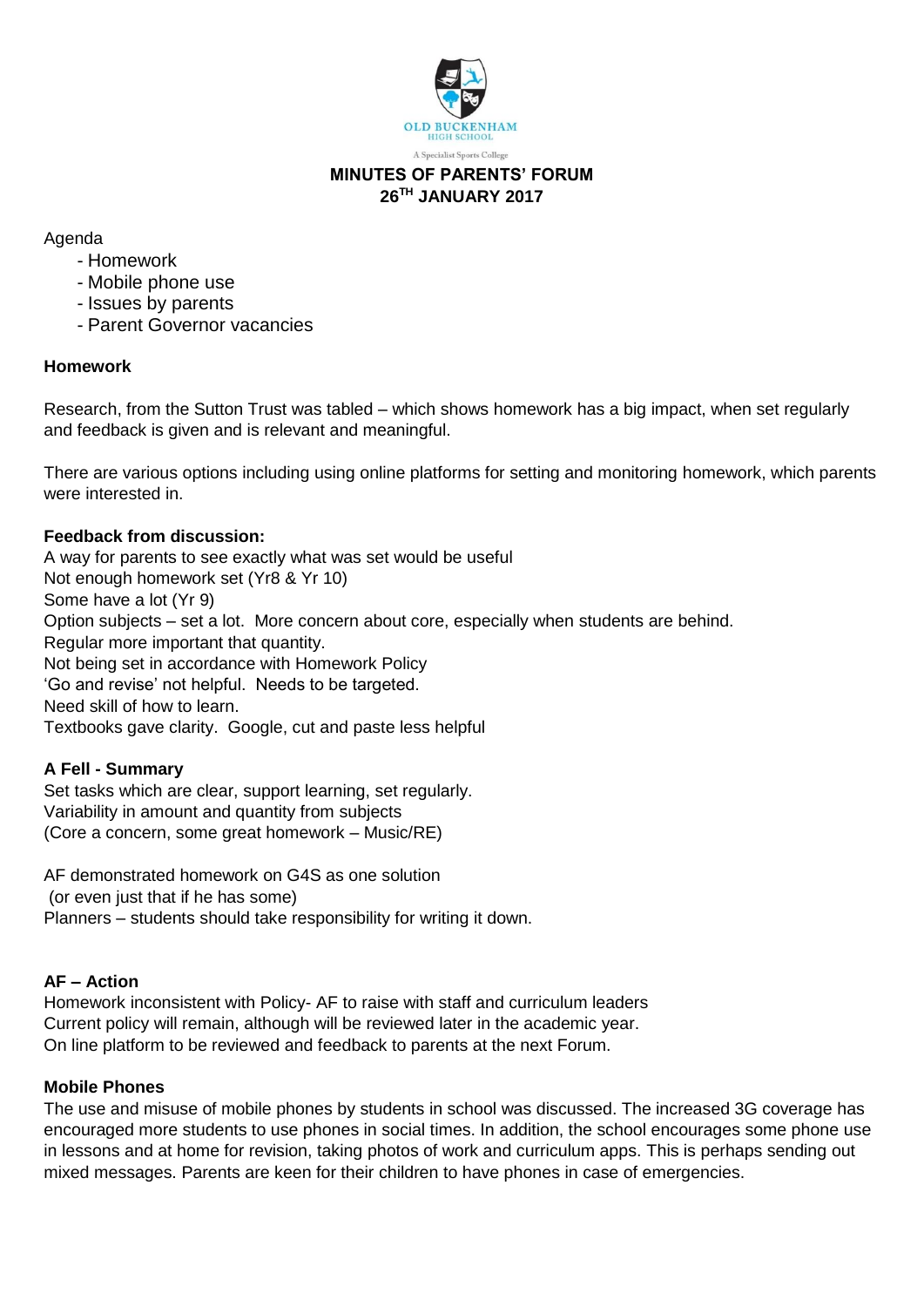

# **MINUTES OF PARENTS' FORUM 26TH JANUARY 2017**

Agenda

- Homework
- Mobile phone use
- Issues by parents
- Parent Governor vacancies

## **Homework**

Research, from the Sutton Trust was tabled – which shows homework has a big impact, when set regularly and feedback is given and is relevant and meaningful.

There are various options including using online platforms for setting and monitoring homework, which parents were interested in.

## **Feedback from discussion:**

A way for parents to see exactly what was set would be useful Not enough homework set (Yr8 & Yr 10) Some have a lot (Yr 9) Option subjects – set a lot. More concern about core, especially when students are behind. Regular more important that quantity. Not being set in accordance with Homework Policy 'Go and revise' not helpful. Needs to be targeted. Need skill of how to learn. Textbooks gave clarity. Google, cut and paste less helpful

#### **A Fell - Summary**

Set tasks which are clear, support learning, set regularly. Variability in amount and quantity from subjects (Core a concern, some great homework – Music/RE)

AF demonstrated homework on G4S as one solution (or even just that if he has some) Planners – students should take responsibility for writing it down.

## **AF – Action**

Homework inconsistent with Policy- AF to raise with staff and curriculum leaders Current policy will remain, although will be reviewed later in the academic year. On line platform to be reviewed and feedback to parents at the next Forum.

#### **Mobile Phones**

The use and misuse of mobile phones by students in school was discussed. The increased 3G coverage has encouraged more students to use phones in social times. In addition, the school encourages some phone use in lessons and at home for revision, taking photos of work and curriculum apps. This is perhaps sending out mixed messages. Parents are keen for their children to have phones in case of emergencies.